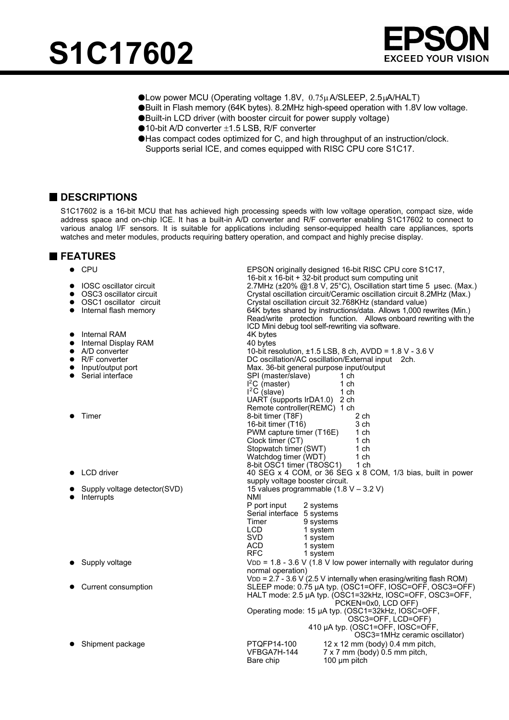



- Low power MCU (Operating voltage 1.8V, 0.75µA/SLEEP, 2.5µA/HALT)
- Built in Flash memory (64K bytes). 8.2MHz high-speed operation with 1.8V low voltage.
- Built-in LCD driver (with booster circuit for power supply voltage)
- ●10-bit A/D converter ±1.5 LSB, R/F converter
- Has compact codes optimized for C, and high throughput of an instruction/clock. Supports serial ICE, and comes equipped with RISC CPU core S1C17.

### **DESCRIPTIONS**

S1C17602 is a 16-bit MCU that has achieved high processing speeds with low voltage operation, compact size, wide address space and on-chip ICE. It has a built-in A/D converter and R/F converter enabling S1C17602 to connect to various analog I/F sensors. It is suitable for applications including sensor-equipped health care appliances, sports watches and meter modules, products requiring battery operation, and compact and highly precise display.

### **FEATURES**

| <b>CPU</b><br>●                | EPSON originally designed 16-bit RISC CPU core S1C17,                 |  |  |  |  |  |  |
|--------------------------------|-----------------------------------------------------------------------|--|--|--|--|--|--|
|                                | 16-bit x 16-bit + 32-bit product sum computing unit                   |  |  |  |  |  |  |
| <b>IOSC</b> oscillator circuit | 2.7MHz (±20% @1.8 V, 25°C), Oscillation start time 5 µsec. (Max.)     |  |  |  |  |  |  |
| OSC3 oscillator circuit        | Crystal oscillation circuit/Ceramic oscillation circuit 8.2MHz (Max.) |  |  |  |  |  |  |
| OSC1 oscillator circuit        | Crystal oscillation circuit 32.768KHz (standard value)                |  |  |  |  |  |  |
| Internal flash memory          | 64K bytes shared by instructions/data. Allows 1,000 rewrites (Min.)   |  |  |  |  |  |  |
|                                | Read/write protection function. Allows onboard rewriting with the     |  |  |  |  |  |  |
|                                | ICD Mini debug tool self-rewriting via software.                      |  |  |  |  |  |  |
| Internal RAM                   | 4K bytes                                                              |  |  |  |  |  |  |
| Internal Display RAM           | 40 bytes                                                              |  |  |  |  |  |  |
| A/D converter                  | 10-bit resolution, $\pm 1.5$ LSB, 8 ch, AVDD = 1.8 V - 3.6 V          |  |  |  |  |  |  |
| R/F converter<br>$\bullet$     | DC oscillation/AC oscillation/External input 2ch.                     |  |  |  |  |  |  |
| Input/output port              | Max. 36-bit general purpose input/output                              |  |  |  |  |  |  |
| Serial interface               | SPI (master/slave)<br>1 ch                                            |  |  |  |  |  |  |
|                                | $I^2C$ (master)<br>1 ch                                               |  |  |  |  |  |  |
|                                | $1^2C$ (slave)<br>1 ch                                                |  |  |  |  |  |  |
|                                | UART (supports IrDA1.0) 2 ch                                          |  |  |  |  |  |  |
|                                | Remote controller(REMC) 1 ch                                          |  |  |  |  |  |  |
| Timer                          | 8-bit timer (T8F)<br>2 ch                                             |  |  |  |  |  |  |
|                                | 16-bit timer (T16)<br>3 ch                                            |  |  |  |  |  |  |
|                                | PWM capture timer (T16E)<br>1 ch                                      |  |  |  |  |  |  |
|                                | Clock timer (CT)<br>1 <sub>ch</sub>                                   |  |  |  |  |  |  |
|                                | Stopwatch timer (SWT)<br>1 ch                                         |  |  |  |  |  |  |
|                                | Watchdog timer (WDT)<br>1 <sub>ch</sub>                               |  |  |  |  |  |  |
|                                | 8-bit OSC1 timer (T8OSC1)<br>1 ch                                     |  |  |  |  |  |  |
| LCD driver                     | 40 SEG x 4 COM, or 36 SEG x 8 COM, 1/3 bias, built in power           |  |  |  |  |  |  |
|                                | supply voltage booster circuit.                                       |  |  |  |  |  |  |
| Supply voltage detector(SVD)   | 15 values programmable (1.8 V - 3.2 V)                                |  |  |  |  |  |  |
| Interrupts                     | <b>NMI</b>                                                            |  |  |  |  |  |  |
|                                | P port input<br>2 systems                                             |  |  |  |  |  |  |
|                                | Serial interface 5 systems                                            |  |  |  |  |  |  |
|                                | Timer<br>9 systems                                                    |  |  |  |  |  |  |
|                                | LCD.<br>1 system                                                      |  |  |  |  |  |  |
|                                | <b>SVD</b><br>1 system                                                |  |  |  |  |  |  |
|                                | <b>ACD</b><br>1 system                                                |  |  |  |  |  |  |
|                                | <b>RFC</b><br>1 system                                                |  |  |  |  |  |  |
| Supply voltage                 | $VDD = 1.8 - 3.6 V (1.8 V low power internally with regulator during$ |  |  |  |  |  |  |
|                                | normal operation)                                                     |  |  |  |  |  |  |
|                                | $VDD = 2.7 - 3.6 V (2.5 V internally when erasing/writing flash ROM)$ |  |  |  |  |  |  |
| Current consumption            | SLEEP mode: 0.75 µA typ. (OSC1=OFF, IOSC=OFF, OSC3=OFF)               |  |  |  |  |  |  |
|                                | HALT mode: 2.5 µA typ. (OSC1=32kHz, IOSC=OFF, OSC3=OFF,               |  |  |  |  |  |  |
|                                | PCKEN=0x0, LCD OFF)                                                   |  |  |  |  |  |  |
|                                | Operating mode: 15 µA typ. (OSC1=32kHz, IOSC=OFF,                     |  |  |  |  |  |  |
|                                | OSC3=OFF, LCD=OFF)                                                    |  |  |  |  |  |  |
|                                | 410 µA typ. (OSC1=OFF, IOSC=OFF,                                      |  |  |  |  |  |  |
|                                | OSC3=1MHz ceramic oscillator)                                         |  |  |  |  |  |  |
| Shipment package               | PTQFP14-100<br>12 x 12 mm (body) 0.4 mm pitch,                        |  |  |  |  |  |  |
|                                | VFBGA7H-144<br>7 x 7 mm (body) 0.5 mm pitch,                          |  |  |  |  |  |  |
|                                | Bare chip<br>$100 \mu m$ pitch                                        |  |  |  |  |  |  |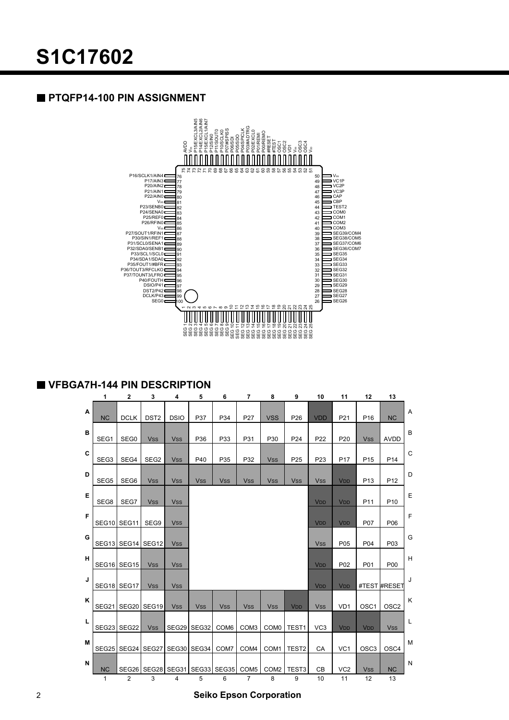## **PTQFP14-100 PIN ASSIGNMENT**



### **VFBGA7H-144 PIN DESCRIPTION**

|   | 1                 | $\mathbf 2$       | 3                 | 4           | 5            | 6                | $\overline{7}$   | 8                | 9                     | 10                    | 11                    | 12                    | 13               |   |
|---|-------------------|-------------------|-------------------|-------------|--------------|------------------|------------------|------------------|-----------------------|-----------------------|-----------------------|-----------------------|------------------|---|
| Α | <b>NC</b>         | <b>DCLK</b>       | DST <sub>2</sub>  | <b>DSIO</b> | P37          | P34              | P27              | <b>VSS</b>       | P <sub>26</sub>       | <b>VDD</b>            | P21                   | P <sub>16</sub>       | <b>NC</b>        | A |
| в | SEG1              | SEG0              | <b>Vss</b>        | <b>Vss</b>  | P36          | P33              | P31              | P30              | P24                   | P <sub>22</sub>       | P <sub>20</sub>       | <b>Vss</b>            | <b>AVDD</b>      | B |
| C | SEG3              | SEG4              | SEG <sub>2</sub>  | <b>Vss</b>  | P40          | P35              | P32              | <b>Vss</b>       | P <sub>25</sub>       | P <sub>23</sub>       | P <sub>17</sub>       | P <sub>15</sub>       | P <sub>14</sub>  | C |
| D | SEG <sub>5</sub>  | SEG6              | <b>Vss</b>        | <b>Vss</b>  | <b>Vss</b>   | <b>Vss</b>       | <b>Vss</b>       | <b>Vss</b>       | <b>Vss</b>            | <b>Vss</b>            | <b>V<sub>DD</sub></b> | P <sub>13</sub>       | P <sub>12</sub>  | D |
| Е | SEG8              | SEG7              | <b>VSS</b>        | <b>VSS</b>  |              |                  |                  |                  |                       | V <sub>DD</sub>       | <b>VDD</b>            | P <sub>11</sub>       | P <sub>10</sub>  | Ε |
| F | SEG10 SEG11       |                   | SEG9              | <b>Vss</b>  |              |                  |                  |                  |                       | <b>V<sub>DD</sub></b> | <b>V<sub>DD</sub></b> | P07                   | P06              | F |
| G |                   | SEG13 SEG14 SEG12 |                   | <b>VSS</b>  |              |                  |                  |                  |                       | <b>VSS</b>            | P05                   | P04                   | P03              | G |
| н |                   | SEG16 SEG15       | <b>Vss</b>        | <b>Vss</b>  |              |                  |                  |                  |                       | <b>V<sub>DD</sub></b> | P <sub>02</sub>       | P01                   | P00              | Н |
| J |                   | SEG18 SEG17       | <b>Vss</b>        | <b>Vss</b>  |              |                  |                  |                  |                       | <b>V<sub>DD</sub></b> | <b>V<sub>DD</sub></b> |                       | #TEST #RESET     | J |
| K | SEG21             |                   | SEG20 SEG19       | <b>Vss</b>  | <b>Vss</b>   | <b>Vss</b>       | <b>Vss</b>       | <b>Vss</b>       | <b>V<sub>DD</sub></b> | <b>Vss</b>            | VD <sub>1</sub>       | OSC <sub>1</sub>      | OSC <sub>2</sub> | K |
| L | SEG <sub>23</sub> | SEG22             | <b>Vss</b>        | SEG29       | <b>SEG32</b> | COM <sub>6</sub> | COM <sub>3</sub> | COM <sub>0</sub> | TEST <sub>1</sub>     | VC <sub>3</sub>       | <b>V<sub>DD</sub></b> | <b>V<sub>DD</sub></b> | <b>Vss</b>       | L |
| M |                   |                   | SEG25 SEG24 SEG27 |             | SEG30 SEG34  | COM7             | COM4             | COM1             | TEST <sub>2</sub>     | CA                    | VC <sub>1</sub>       | OSC <sub>3</sub>      | OSC <sub>4</sub> | M |
| N | <b>NC</b>         | SEG26             | SEG28             | SEG31       | <b>SEG33</b> | SEG35            | COM <sub>5</sub> | COM <sub>2</sub> | TEST <sub>3</sub>     | CB                    | VC <sub>2</sub>       | <b>Vss</b>            | <b>NC</b>        | N |
|   | $\mathbf{1}$      | 2                 | 3                 | 4           | 5            | 6                | 7                | 8                | 9                     | 10                    | 11                    | 12                    | 13               |   |

2 **Seiko Epson Corporation**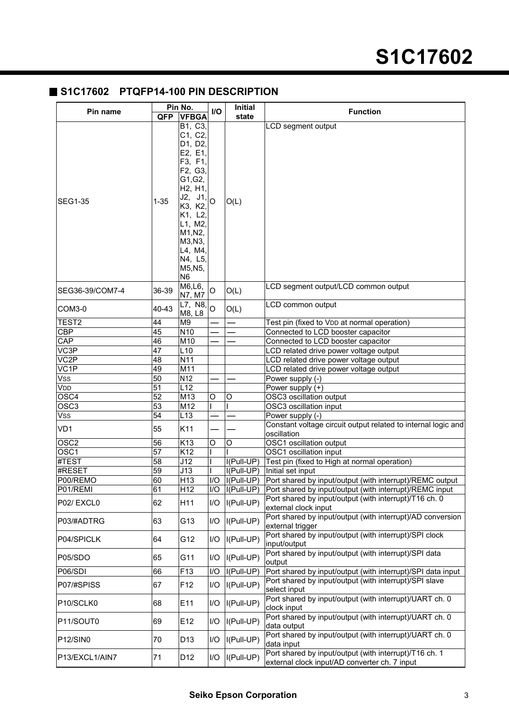# **S1C17602**

# **S1C17602 PTQFP14-100 PIN DESCRIPTION**

| Pin name                  |                                    | Pin No.                                                                                                                                                                                                                                           | I/O            | <b>Initial</b>       | <b>Function</b>                                                                                                   |  |  |  |
|---------------------------|------------------------------------|---------------------------------------------------------------------------------------------------------------------------------------------------------------------------------------------------------------------------------------------------|----------------|----------------------|-------------------------------------------------------------------------------------------------------------------|--|--|--|
|                           | <b>QFP</b>                         | <b>VFBGA</b>                                                                                                                                                                                                                                      |                | state                |                                                                                                                   |  |  |  |
| <b>SEG1-35</b>            | $1 - 35$                           | B1, C3,<br>C1, C2,<br>D1, D2,<br>E2, E1,<br>F3, F1,<br>F2, G3,<br>G1, G2,<br>H <sub>2</sub> , H <sub>1</sub> ,<br>$J2, J1$ <sub>o</sub><br>K3, K2,<br>K1, L2,<br>L1, M2,<br>M1, N2,<br>M3, N3,<br>L4, M4,<br>N4, L5,<br>M5, N5,<br>N <sub>6</sub> |                | O(L)                 | <b>LCD</b> segment output                                                                                         |  |  |  |
| SEG36-39/COM7-4           | 36-39                              | M6, L6,<br>N7, M7                                                                                                                                                                                                                                 | O              | O(L)                 | LCD segment output/LCD common output                                                                              |  |  |  |
| COM3-0                    | 40-43                              | L7, N8,<br>M8, L8                                                                                                                                                                                                                                 | $\overline{O}$ | O(L)                 | LCD common output                                                                                                 |  |  |  |
| TEST <sub>2</sub>         | 44                                 | M <sub>9</sub>                                                                                                                                                                                                                                    |                |                      | Test pin (fixed to VDD at normal operation)                                                                       |  |  |  |
| $\overline{\text{CBP}}$   | 45                                 | N <sub>10</sub>                                                                                                                                                                                                                                   |                |                      | Connected to LCD booster capacitor                                                                                |  |  |  |
| $\overline{\mathsf{CAP}}$ | $\overline{46}$                    | M10                                                                                                                                                                                                                                               |                |                      | Connected to LCD booster capacitor                                                                                |  |  |  |
| VC3P<br>$\overline{VC2P}$ | $\overline{47}$<br>$\overline{48}$ | L10<br>N11                                                                                                                                                                                                                                        |                |                      | LCD related drive power voltage output                                                                            |  |  |  |
| VC <sub>1</sub> P         | 49                                 | M11                                                                                                                                                                                                                                               |                |                      | LCD related drive power voltage output<br>LCD related drive power voltage output                                  |  |  |  |
| Vss                       | 50                                 | N <sub>12</sub>                                                                                                                                                                                                                                   |                |                      | Power supply (-)                                                                                                  |  |  |  |
| Vdd                       | $\overline{51}$                    | L12                                                                                                                                                                                                                                               |                |                      | Power supply (+)                                                                                                  |  |  |  |
| OSC4                      | $\overline{52}$                    | M13                                                                                                                                                                                                                                               | O              | O                    | OSC3 oscillation output                                                                                           |  |  |  |
| $\overline{\text{OSC3}}$  | $\overline{53}$                    | M12                                                                                                                                                                                                                                               |                |                      | OSC3 oscillation input                                                                                            |  |  |  |
| Vss                       | 54                                 | L13                                                                                                                                                                                                                                               |                |                      | Power supply (-)                                                                                                  |  |  |  |
| VD1                       | 55                                 | K11                                                                                                                                                                                                                                               |                |                      | Constant voltage circuit output related to internal logic and<br>oscillation                                      |  |  |  |
| $\overline{\text{OSC2}}$  | 56                                 | K13                                                                                                                                                                                                                                               | O              | O                    | OSC1 oscillation output                                                                                           |  |  |  |
| OSC <sub>1</sub>          | $\overline{57}$                    | K12                                                                                                                                                                                                                                               |                |                      | OSC1 oscillation input                                                                                            |  |  |  |
| #TEST                     | 58                                 | J12                                                                                                                                                                                                                                               |                | $I(Full-UP)$         | Test pin (fixed to High at normal operation)                                                                      |  |  |  |
| #RESET                    | 59                                 | J13                                                                                                                                                                                                                                               |                | $I(Full-UP)$         | Initial set input                                                                                                 |  |  |  |
| P00/REMO                  | 60                                 | H13                                                                                                                                                                                                                                               |                | $I/O$ $ I(Pull-UP) $ | Port shared by input/output (with interrupt)/REMC output                                                          |  |  |  |
| P01/REMI                  | 61                                 | H12                                                                                                                                                                                                                                               | I/O            | I(Pull-UP)           | Port shared by input/output (with interrupt)/REMC input<br>Port shared by input/output (with interrupt)/T16 ch. 0 |  |  |  |
| P02/EXCL0                 | 62                                 | H11                                                                                                                                                                                                                                               | I/O            | $I(Full-UP)$         | external clock input                                                                                              |  |  |  |
| P03/#ADTRG                | 63                                 | G13                                                                                                                                                                                                                                               | I/O            | I(Pull-UP)           | Port shared by input/output (with interrupt)/AD conversion<br>external trigger                                    |  |  |  |
| P04/SPICLK                | 64                                 | G12                                                                                                                                                                                                                                               | I/O            | I(Pull-UP)           | Port shared by input/output (with interrupt)/SPI clock<br>input/output                                            |  |  |  |
| P05/SDO                   | 65                                 | G11                                                                                                                                                                                                                                               | 1/O            | I(Pull-UP)           | Port shared by input/output (with interrupt)/SPI data<br>output                                                   |  |  |  |
| P06/SDI                   | 66                                 | F13                                                                                                                                                                                                                                               | I/O            | $I(Full-UP)$         | Port shared by input/output (with interrupt)/SPI data input                                                       |  |  |  |
| P07/#SPISS                | 67                                 | F12                                                                                                                                                                                                                                               | I/O            | $I(Full-UP)$         | Port shared by input/output (with interrupt)/SPI slave<br>select input                                            |  |  |  |
| P10/SCLK0                 | 68                                 | E11                                                                                                                                                                                                                                               | 1/O            | $I(Full-UP)$         | Port shared by input/output (with interrupt)/UART ch. 0<br>clock input                                            |  |  |  |
| P11/SOUT0                 | 69                                 | E12                                                                                                                                                                                                                                               | I/O            | $I(Full-UP)$         | Port shared by input/output (with interrupt)/UART ch. 0<br>data output                                            |  |  |  |
| P12/SIN0                  | 70                                 | D <sub>13</sub>                                                                                                                                                                                                                                   | I/O            | $I(Full-UP)$         | Port shared by input/output (with interrupt)/UART ch. 0<br>data input                                             |  |  |  |
| P13/EXCL1/AIN7            | 71                                 | D <sub>12</sub>                                                                                                                                                                                                                                   | I/O            | I(Pull-UP)           | Port shared by input/output (with interrupt)/T16 ch. 1<br>external clock input/AD converter ch. 7 input           |  |  |  |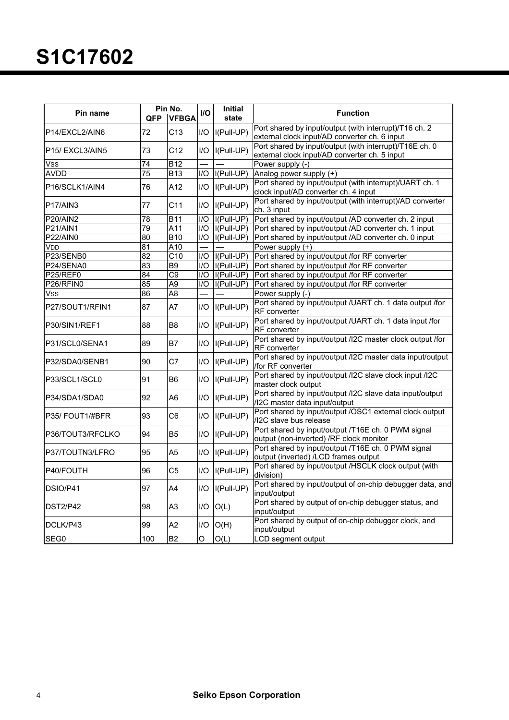| Pin name                          | <b>QFP</b>      | Pin No.<br><b>VFBGA</b> | I/O              | Initial<br>state   | <b>Function</b>                                                                                          |
|-----------------------------------|-----------------|-------------------------|------------------|--------------------|----------------------------------------------------------------------------------------------------------|
| P14/EXCL2/AIN6                    | 72              | C13                     | I/O              | I(Pull-UP)         | Port shared by input/output (with interrupt)/T16 ch. 2<br>external clock input/AD converter ch. 6 input  |
| P <sub>15</sub> /EXCL3/AIN5       | 73              | C12                     | I/O              | I(Pull-UP)         | Port shared by input/output (with interrupt)/T16E ch. 0<br>external clock input/AD converter ch. 5 input |
| <b>Vss</b>                        | 74              | $\overline{B12}$        |                  |                    | Power supply (-)                                                                                         |
| <b>AVDD</b>                       | $\overline{75}$ | $\overline{B13}$        | $\overline{1/O}$ | $I(Pull-UP)$       | Analog power supply (+)                                                                                  |
| P16/SCLK1/AIN4                    | 76              | A12                     | $U$ O            | I(Pull-UP)         | Port shared by input/output (with interrupt)/UART ch. 1<br>clock input/AD converter ch. 4 input          |
| P <sub>17</sub> /AIN <sub>3</sub> | 77              | C11                     | I/O              | I(Pull-UP)         | Port shared by input/output (with interrupt)/AD converter<br>ch. 3 input                                 |
| <b>P20/AIN2</b>                   | 78              | $\overline{B11}$        | IO               | I(Pull-UP)         | Port shared by input/output /AD converter ch. 2 input                                                    |
| <b>P21/AIN1</b>                   | 79              | A11                     |                  | $I/O$ $I(Paul-UP)$ | Port shared by input/output /AD converter ch. 1 input                                                    |
| P22/AIN0                          | $\overline{80}$ | <b>B10</b>              |                  | $IO$ $I(Pull-UP)$  | Port shared by input/output /AD converter ch. 0 input                                                    |
| V <sub>DD</sub>                   | $\overline{81}$ | A10                     |                  |                    | Power supply $(+)$                                                                                       |
| P23/SENB0                         | $\overline{82}$ | $\overline{C10}$        |                  | $I/O$ $I(Pull-UP)$ | Port shared by input/output /for RF converter                                                            |
| P24/SENA0                         | $\overline{83}$ | B <sub>9</sub>          |                  | $I/O$ $I(Pull-UP)$ | Port shared by input/output /for RF converter                                                            |
| P25/REF0                          | $\overline{84}$ | $\overline{C9}$         |                  | $I/O$ $I(Pull-UP)$ | Port shared by input/output /for RF converter                                                            |
| P26/RFIN0                         | 85              | A <sub>9</sub>          |                  | $I/O$ $I(Pull-UP)$ | Port shared by input/output /for RF converter                                                            |
| Vss                               | 86              | A <sub>8</sub>          |                  |                    | Power supply (-)                                                                                         |
| P27/SOUT1/RFIN1                   | 87              | A7                      | I/O              | $I(Full-UP)$       | Port shared by input/output /UART ch. 1 data output /for<br>RF converter                                 |
| P30/SIN1/REF1                     | 88              | B <sub>8</sub>          | 1/O              | I(Pull-UP)         | Port shared by input/output /UART ch. 1 data input /for<br><b>RF</b> converter                           |
| P31/SCL0/SENA1                    | 89              | B7                      | I/O              | $I(Full-UP)$       | Port shared by input/output /I2C master clock output /for<br>RF converter                                |
| P32/SDA0/SENB1                    | 90              | C7                      | I/O              | I(Pull-UP)         | Port shared by input/output /I2C master data input/output<br>/for RF converter                           |
| P33/SCL1/SCL0                     | 91              | B <sub>6</sub>          | I/O              | I(Pull-UP)         | Port shared by input/output /I2C slave clock input /I2C<br>master clock output                           |
| P34/SDA1/SDA0                     | 92              | A <sub>6</sub>          | 1/O              | $I(Full-UP)$       | Port shared by input/output /I2C slave data input/output<br>/I2C master data input/output                |
| P35/FOUT1/#BFR                    | 93              | C6                      | I/O              | $I(Full-UP)$       | Port shared by input/output /OSC1 external clock output<br>/I2C slave bus release                        |
| P36/TOUT3/RFCLKO                  | 94              | <b>B5</b>               | 1/O              | $I(Full-UP)$       | Port shared by input/output /T16E ch. 0 PWM signal<br>output (non-inverted) /RF clock monitor            |
| P37/TOUTN3/LFRO                   | 95              | A <sub>5</sub>          | I/O              | $I(Full-UP)$       | Port shared by input/output /T16E ch. 0 PWM signal<br>output (inverted) /LCD frames output               |
| P40/FOUTH                         | 96              | C <sub>5</sub>          | 1/O              | $I(Full-UP)$       | Port shared by input/output /HSCLK clock output (with<br>division)                                       |
| DSIO/P41                          | 97              | A4                      | I/O              | $I(Full-UP)$       | Port shared by input/output of on-chip debugger data, and<br>input/output                                |
| <b>DST2/P42</b>                   | 98              | A <sub>3</sub>          | I/O              | O(L)               | Port shared by output of on-chip debugger status, and<br>input/output                                    |
| DCLK/P43                          | 99              | A2                      | I/O              | O(H)               | Port shared by output of on-chip debugger clock, and<br>input/output                                     |
| SEG0                              | 100             | $\overline{B2}$         | O                | $\overline{O(L)}$  | LCD segment output                                                                                       |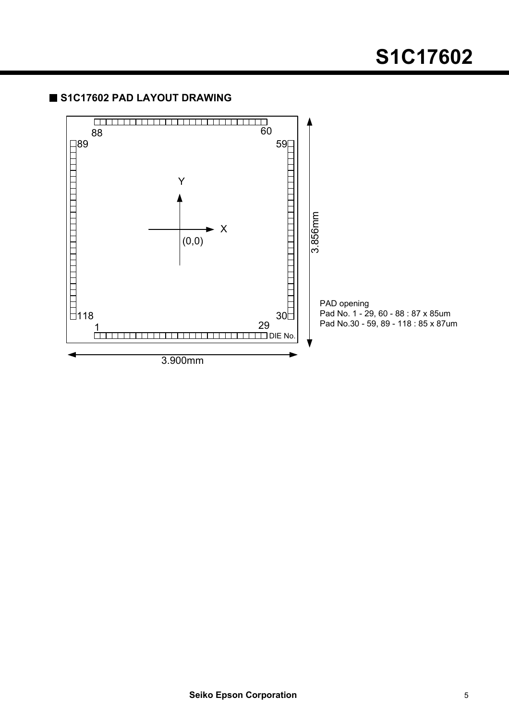# **S1C17602**

## **S1C17602 PAD LAYOUT DRAWING**

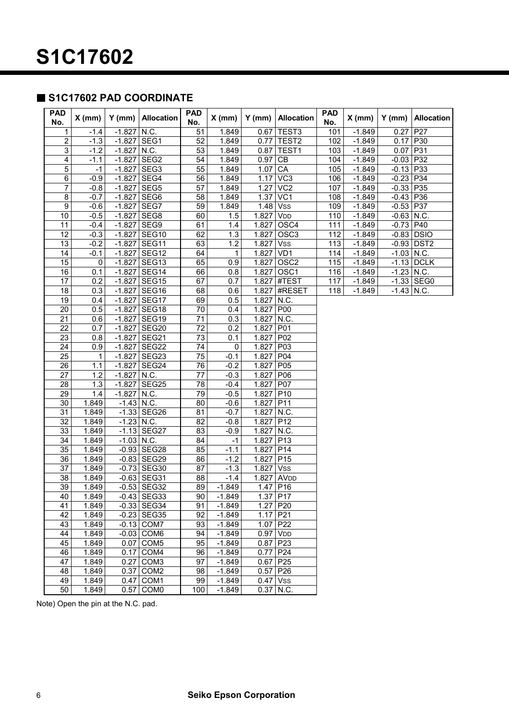### **S1C17602 PAD COORDINATE**

| <b>PAD</b><br>No.       | $X$ (mm) | $Y$ (mm)     | <b>Allocation</b>       | <b>PAD</b><br>No. | $X$ (mm) | $Y$ (mm)   | <b>Allocation</b>      | <b>PAD</b><br>No. | $X$ (mm) | $Y$ (mm)     | <b>Allocation</b> |
|-------------------------|----------|--------------|-------------------------|-------------------|----------|------------|------------------------|-------------------|----------|--------------|-------------------|
| 1                       | $-1.4$   | $-1.827$     | N.C.                    | 51                | 1.849    | 0.67       | TEST <sub>3</sub>      | 101               | $-1.849$ | 0.27         | P27               |
| $\overline{\mathbf{c}}$ | $-1.3$   | $-1.827$     | SEG1                    | 52                | 1.849    | 0.77       | TEST <sub>2</sub>      | 102               | $-1.849$ | 0.17         | P30               |
| $\overline{3}$          | $-1.2$   | $-1.827$     | N.C.                    | 53                | 1.849    | 0.87       | TEST1                  | 103               | $-1.849$ | 0.07         | P31               |
| $\overline{\mathbf{4}}$ | $-1.1$   | $-1.827$     | SEG <sub>2</sub>        | 54                | 1.849    | 0.97       | CB                     | 104               | $-1.849$ | $-0.03$      | P32               |
| 5                       | $-1$     | $-1.827$     | SEG3                    | 55                | 1.849    | 1.07       | CA                     | 105               | $-1.849$ | $-0.13$ P33  |                   |
| $\overline{6}$          | $-0.9$   | $-1.827$     | SEG4                    | 56                | 1.849    | 1.17       | VC <sub>3</sub>        | 106               | $-1.849$ | $-0.23$      | P34               |
| $\boldsymbol{7}$        | $-0.8$   | $-1.827$     | SEG5                    | 57                | 1.849    | 1.27       | VC <sub>2</sub>        | 107               | $-1.849$ | $-0.33$      | P35               |
| 8                       | $-0.7$   | $-1.827$     | SEG6                    | 58                | 1.849    | 1.37       | VC <sub>1</sub>        | 108               | $-1.849$ | $-0.43$      | P36               |
| $\boldsymbol{9}$        | $-0.6$   | $-1.827$     | SEG7                    | 59                | 1.849    | 1.48       | <b>Vss</b>             | 109               | $-1.849$ | $-0.53$      | P37               |
| 10                      | $-0.5$   | $-1.827$     | SEG8                    | 60                | 1.5      | 1.827      | V <sub>DD</sub>        | 110               | $-1.849$ | $-0.63$      | N.C.              |
| $\overline{11}$         | $-0.4$   | $-1.827$     | SEG9                    | 61                | 1.4      | 1.827      | OSC4                   | 111               | $-1.849$ | $-0.73$      | P40               |
| 12                      | $-0.3$   | $-1.827$     | SEG <sub>10</sub>       | 62                | 1.3      | 1.827      | OSC <sub>3</sub>       | 112               | $-1.849$ | $-0.83$      | <b>DSIO</b>       |
| $\overline{13}$         | $-0.2$   | $-1.827$     | SEG11                   | 63                | 1.2      | 1.827      | <b>Vss</b>             | 113               | $-1.849$ |              | $-0.93$ DST2      |
| 14                      | $-0.1$   | $-1.827$     | SEG <sub>12</sub>       | 64                | 1        | 1.827      | VD <sub>1</sub>        | 114               | $-1.849$ | $-1.03$ N.C. |                   |
| 15                      | 0        | $-1.827$     | SEG <sub>13</sub>       | 65                | 0.9      | 1.827      | OSC <sub>2</sub>       | 115               | $-1.849$ |              | $-1.13$ DCLK      |
| 16                      | 0.1      | $-1.827$     | SEG14                   | 66                | 0.8      | 1.827      | OSC1                   | 116               | $-1.849$ | $-1.23$ N.C. |                   |
| 17                      | 0.2      | $-1.827$     | SEG15                   | 67                | 0.7      | 1.827      | #TEST                  | 117               | $-1.849$ |              | $-1.33$ SEG0      |
| 18                      | 0.3      | $-1.827$     | SEG16                   | 68                | 0.6      | 1.827      | #RESET                 | 118               | $-1.849$ | $-1.43$ N.C. |                   |
| 19                      | 0.4      | $-1.827$     | SEG17                   | 69                | 0.5      | 1.827      | N.C.                   |                   |          |              |                   |
| 20                      | 0.5      | $-1.827$     | SEG18                   | 70                | 0.4      | 1.827      | <b>P00</b>             |                   |          |              |                   |
| 21                      | 0.6      | $-1.827$     | SEG <sub>19</sub>       | 71                | 0.3      | 1.827      | N.C.                   |                   |          |              |                   |
| $\overline{22}$         | 0.7      | $-1.827$     | SEG20                   | $\overline{72}$   | 0.2      | 1.827      | P01                    |                   |          |              |                   |
| $\overline{23}$         | 0.8      | $-1.827$     | SEG21                   | $\overline{73}$   | 0.1      | 1.827      | P02                    |                   |          |              |                   |
| 24                      | 0.9      | $-1.827$     | SEG22                   | 74                | 0        | 1.827      | P03                    |                   |          |              |                   |
| 25                      | 1        | $-1.827$     | SEG23                   | 75                | $-0.1$   | 1.827      | P04                    |                   |          |              |                   |
| 26                      | 1.1      | $-1.827$     | SEG24                   | 76                | $-0.2$   | 1.827      | P <sub>05</sub>        |                   |          |              |                   |
| 27                      | 1.2      | $-1.827$     | N.C.                    | 77                | $-0.3$   | 1.827      | P06                    |                   |          |              |                   |
| 28                      | 1.3      | $-1.827$     | SEG25                   | 78                | $-0.4$   | 1.827      | P07                    |                   |          |              |                   |
| 29                      | 1.4      | $-1.827$     | N.C.                    | 79                | $-0.5$   | 1.827      | P <sub>10</sub>        |                   |          |              |                   |
| 30                      | 1.849    | $-1.43$      | $\vert$ N.C.            | 80                | $-0.6$   | 1.827      | P <sub>11</sub>        |                   |          |              |                   |
| 31                      | 1.849    | $-1.33$      | SEG <sub>26</sub>       | 81                | $-0.7$   | 1.827      | N.C.                   |                   |          |              |                   |
| 32                      | 1.849    | $-1.23$      | N.C.                    | 82                | $-0.8$   | 1.827      | P <sub>12</sub>        |                   |          |              |                   |
| 33                      | 1.849    | $-1.13$      | SEG27                   | $\overline{83}$   | $-0.9$   | 1.827      | N.C.                   |                   |          |              |                   |
| 34                      | 1.849    | $-1.03$ N.C. |                         | 84                | $-1$     | 1.827      | P <sub>13</sub>        |                   |          |              |                   |
| 35                      | 1.849    | $-0.93$      | SEG28                   | 85                | $-1.1$   | 1.827      | P <sub>14</sub>        |                   |          |              |                   |
| 36                      | 1.849    | $-0.83$      | SEG29                   | 86                | $-1.2$   | 1.827      | P <sub>15</sub>        |                   |          |              |                   |
| 37                      | 1.849    | $-0.73$      | SEG30                   | 87                | $-1.3$   | 1.827      | <b>Vss</b>             |                   |          |              |                   |
| 38                      | 1.849    | $-0.63$      | SEG31                   | 88                | $-1.4$   | 1.827      | <b>AV<sub>DD</sub></b> |                   |          |              |                   |
| 39                      | 1.849    |              | $-0.53$ SEG32           | 89                | $-1.849$ | 1.47       | P <sub>16</sub>        |                   |          |              |                   |
| 40                      | 1.849    |              | $-0.43$ SEG33           | 90                | $-1.849$ | $1.37$ P17 |                        |                   |          |              |                   |
| 41                      | 1.849    |              | $-0.33$ SEG34           | 91                | $-1.849$ | 1.27       | P <sub>20</sub>        |                   |          |              |                   |
| 42                      | 1.849    |              | $-0.23$ SEG35           | 92                | $-1.849$ | 1.17       | P21                    |                   |          |              |                   |
| 43                      | 1.849    |              | $-0.13$ COM7            | 93                | $-1.849$ |            | $1.07$ P22             |                   |          |              |                   |
| 44                      | 1.849    |              | $-0.03$ COM6            | 94                | $-1.849$ | 0.97       | <b>VDD</b>             |                   |          |              |                   |
| 45                      | 1.849    |              | $0.07$ COM5             | 95                | $-1.849$ | 0.87       | P <sub>23</sub>        |                   |          |              |                   |
| 46                      | 1.849    |              | $0.17$ COM4             | 96                | $-1.849$ | 0.77       | P <sub>24</sub>        |                   |          |              |                   |
| 47                      | 1.849    | 0.27         | COM <sub>3</sub>        | 97                | $-1.849$ | $0.67$ P25 |                        |                   |          |              |                   |
| 48                      | 1.849    |              | $0.37$ COM2             | 98                | $-1.849$ | $0.57$ P26 |                        |                   |          |              |                   |
| 49                      | 1.849    |              | $0.47$ COM1             | 99                | $-1.849$ | $0.47$ Vss |                        |                   |          |              |                   |
| 50                      | 1.849    |              | $0.57$ COM <sub>0</sub> | 100               | $-1.849$ |            | $0.37$ N.C.            |                   |          |              |                   |

Note) Open the pin at the N.C. pad.